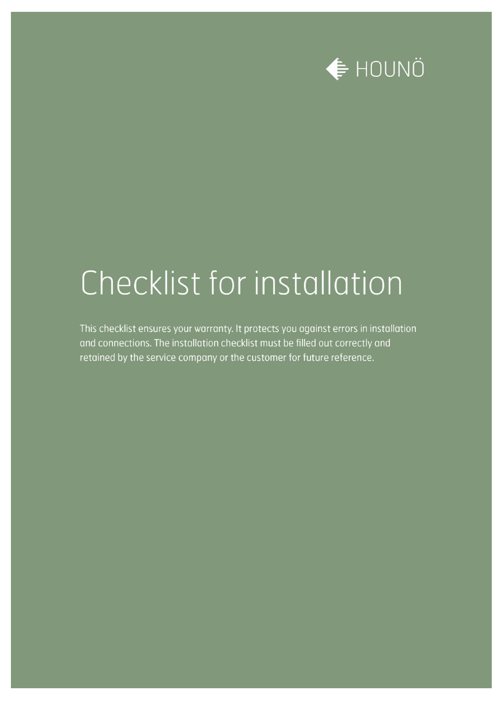

## Checklist for installation

This checklist ensures your warranty. It protects you against errors in installation and connections. The installation checklist must be filled out correctly and retained by the service company or the customer for future reference.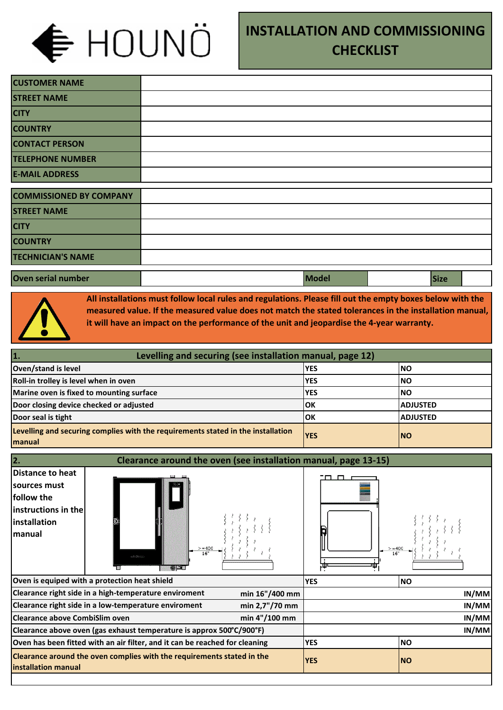

## **INSTALLATION AND COMMISSIONING CHECKLIST**

| <b>CUSTOMER NAME</b>           |  |  |       |             |  |
|--------------------------------|--|--|-------|-------------|--|
| <b>STREET NAME</b>             |  |  |       |             |  |
| <b>CITY</b>                    |  |  |       |             |  |
| <b>COUNTRY</b>                 |  |  |       |             |  |
| <b>CONTACT PERSON</b>          |  |  |       |             |  |
| <b>TELEPHONE NUMBER</b>        |  |  |       |             |  |
| <b>E-MAIL ADDRESS</b>          |  |  |       |             |  |
| <b>COMMISSIONED BY COMPANY</b> |  |  |       |             |  |
| <b>STREET NAME</b>             |  |  |       |             |  |
| <b>CITY</b>                    |  |  |       |             |  |
| <b>COUNTRY</b>                 |  |  |       |             |  |
| <b>TECHNICIAN'S NAME</b>       |  |  |       |             |  |
| Oven serial number             |  |  | Model | <b>Size</b> |  |



**All installations must follow local rules and regulations. Please fill out the empty boxes below with the measured value. If the measured value does not match the stated tolerances in the installation manual, it will have an impact on the performance of the unit and jeopardise the 4-year warranty.** 

| Levelling and securing (see installation manual, page 12)<br>1.                            |             |                  |
|--------------------------------------------------------------------------------------------|-------------|------------------|
| Oven/stand is level                                                                        | <b>IYES</b> | INO              |
| Roll-in trolley is level when in oven                                                      | <b>IYES</b> | INO              |
| Marine oven is fixed to mounting surface                                                   | <b>IYES</b> | INO              |
| Door closing device checked or adjusted                                                    | lОK         | <b>IADJUSTED</b> |
| Door seal is tight                                                                         | lok         | ladjusted        |
| Levelling and securing complies with the requirements stated in the installation<br>manual | <b>YES</b>  | <b>INO</b>       |

| 2.<br>Clearance around the oven (see installation manual, page 13-15)                                           |                                                                             |                                 |            |  |
|-----------------------------------------------------------------------------------------------------------------|-----------------------------------------------------------------------------|---------------------------------|------------|--|
| Distance to heat<br>sources must<br>follow the<br>$ $ instructions in the $ $<br>installation<br><b>Imanual</b> | $>= 400$<br>16"<br><b>Información</b><br>$\Theta$ $\blacksquare$            | $\Box$<br>П.<br>$>= 400$<br>16" |            |  |
|                                                                                                                 | Oven is equiped with a protection heat shield                               | <b>YES</b>                      | INO.       |  |
|                                                                                                                 | Clearance right side in a high-temperature enviroment<br>min 16"/400 mm     |                                 | IN/MM      |  |
|                                                                                                                 | Clearance right side in a low-temperature enviroment<br>min 2,7"/70 mm      |                                 | IN/MM      |  |
| <b>Clearance above CombiSlim oven</b>                                                                           | min 4"/100 mm                                                               | IN/MM                           |            |  |
|                                                                                                                 | Clearance above oven (gas exhaust temperature is approx 500°C/900°F)        | IN/MM                           |            |  |
|                                                                                                                 | Oven has been fitted with an air filter, and it can be reached for cleaning | <b>YES</b>                      | INO        |  |
| installation manual                                                                                             | Clearance around the oven complies with the requirements stated in the      | <b>YES</b>                      | <b>INO</b> |  |
|                                                                                                                 |                                                                             |                                 |            |  |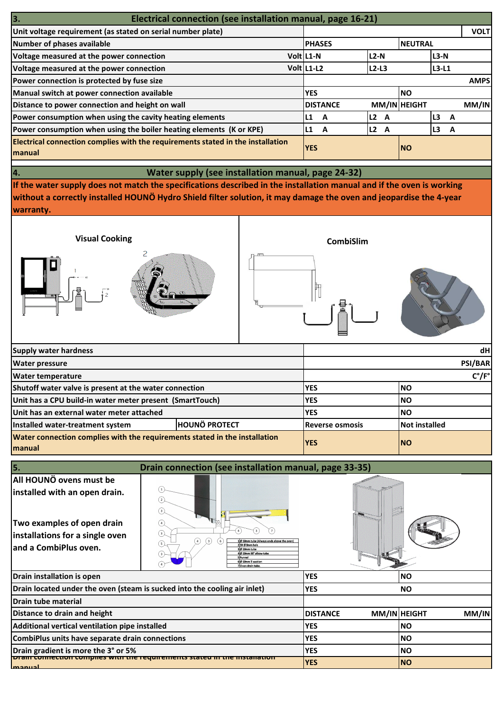| 3.<br>Electrical connection (see installation manual, page 16-21)                                |               |                 |                |   |              |                |   |             |
|--------------------------------------------------------------------------------------------------|---------------|-----------------|----------------|---|--------------|----------------|---|-------------|
| Unit voltage requirement (as stated on serial number plate)                                      |               |                 |                |   |              |                |   | <b>VOLT</b> |
| Number of phases available                                                                       | <b>PHASES</b> |                 |                |   | NEUTRAL      |                |   |             |
| Voltage measured at the power connection                                                         | Volt L1-N     |                 | $L2-N$         |   |              | ll3-N          |   |             |
| Voltage measured at the power connection                                                         | Volt L1-L2    |                 | $L2-L3$        |   |              | ll3-L1         |   |             |
| Power connection is protected by fuse size                                                       |               |                 |                |   |              |                |   | <b>AMPS</b> |
| Manual switch at power connection available                                                      | <b>YES</b>    |                 |                |   | <b>NO</b>    |                |   |             |
| Distance to power connection and height on wall                                                  |               | <b>DISTANCE</b> |                |   | MM/IN HEIGHT |                |   | MM/IN       |
| Power consumption when using the cavity heating elements                                         | L1            | A               | L <sub>2</sub> | A |              | L <sub>3</sub> | A |             |
| Power consumption when using the boiler heating elements (K or KPE)                              | L1            | A               | L2 A           |   |              | L3             | A |             |
| <b>Electrical connection complies with the requirements stated in the installation</b><br>manual | <b>YES</b>    |                 |                |   | <b>NO</b>    |                |   |             |

**Water supply (see installation manual, page 24-32)** 

**If the water supply does not match the specifications described in the installation manual and if the oven is working without a correctly installed HOUNÖ Hydro Shield filter solution, it may damage the oven and jeopardise the 4-year warranty.** 

**4.**



| <b>Supply water hardness</b>                                                         |                      |                        | dH                    |  |  |
|--------------------------------------------------------------------------------------|----------------------|------------------------|-----------------------|--|--|
| <b>Water pressure</b>                                                                |                      | <b>PSI/BAR</b>         |                       |  |  |
| <b>Water temperature</b>                                                             |                      |                        | $C^{\circ}/F^{\circ}$ |  |  |
| Shutoff water valve is present at the water connection                               |                      | <b>IYES</b>            | <b>NO</b>             |  |  |
| Unit has a CPU build-in water meter present (SmartTouch)                             |                      | <b>IYES</b>            | INO                   |  |  |
| Unit has an external water meter attached                                            |                      | <b>IYES</b>            | INO                   |  |  |
| Installed water-treatment system                                                     | <b>HOUNÖ PROTECT</b> | <b>Reverse osmosis</b> | Not installed         |  |  |
| Water connection complies with the requirements stated in the installation<br>manual |                      | <b>YES</b>             | INO                   |  |  |

| Drain connection (see installation manual, page 33-35)<br>l5.                                                                                      |                                                                                                                                                                                                                                    |                 |  |              |       |
|----------------------------------------------------------------------------------------------------------------------------------------------------|------------------------------------------------------------------------------------------------------------------------------------------------------------------------------------------------------------------------------------|-----------------|--|--------------|-------|
| All HOUNÖ ovens must be<br>installed with an open drain.<br>Two examples of open drain<br>installations for a single oven<br>and a CombiPlus oven. | $\overline{\mathbf{3}}$<br>(4)<br>3<br>$\lceil 3 \rceil$<br>Ø 50mm tube (Always ends above the oven)<br>4<br>5<br>23X @ Smm hols<br>3 Ø 50mm tube<br>4 Ø 50mm 90° albow tube<br>SÍFunnel<br>60 50mm T-section<br>7 Oven drain tube |                 |  |              |       |
| Drain installation is open                                                                                                                         |                                                                                                                                                                                                                                    | <b>YES</b>      |  | <b>NO</b>    |       |
| Drain located under the oven (steam is sucked into the cooling air inlet)                                                                          |                                                                                                                                                                                                                                    | <b>YES</b>      |  | <b>NO</b>    |       |
| Drain tube material                                                                                                                                |                                                                                                                                                                                                                                    |                 |  |              |       |
| Distance to drain and height                                                                                                                       |                                                                                                                                                                                                                                    | <b>DISTANCE</b> |  | MM/IN HEIGHT | MM/IN |
| Additional vertical ventilation pipe installed                                                                                                     |                                                                                                                                                                                                                                    | <b>YES</b>      |  | <b>INO</b>   |       |
| CombiPlus units have separate drain connections                                                                                                    |                                                                                                                                                                                                                                    | <b>YES</b>      |  | <b>NO</b>    |       |
| Drain gradient is more the 3° or 5%                                                                                                                |                                                                                                                                                                                                                                    | <b>YES</b>      |  | <b>NO</b>    |       |
| <u>Diam completion complies with the reguliements stated in</u><br>mann                                                                            | е пізіанацыі                                                                                                                                                                                                                       | <b>YES</b>      |  | <b>INO</b>   |       |